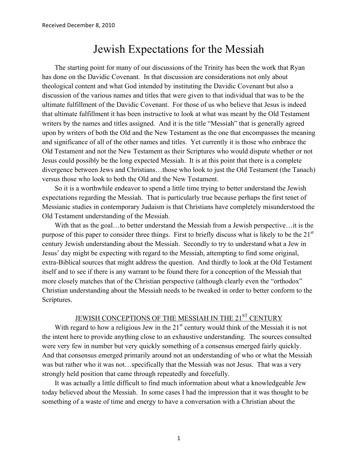# Jewish Expectations for the Messiah

The starting point for many of our discussions of the Trinity has been the work that Ryan has done on the Davidic Covenant. In that discussion are considerations not only about theological content and what God intended by instituting the Davidic Covenant but also a discussion of the various names and titles that were given to that individual that was to be the ultimate fulfillment of the Davidic Covenant. For those of us who believe that Jesus is indeed that ultimate fulfillment it has been instructive to look at what was meant by the Old Testament writers by the names and titles assigned. And it is the title "Messiah" that is generally agreed upon by writers of both the Old and the New Testament as the one that encompasses the meaning and significance of all of the other names and titles. Yet currently it is those who embrace the Old Testament and not the New Testament as their Scriptures who would dispute whether or not Jesus could possibly be the long expected Messiah. It is at this point that there is a complete divergence between Jews and Christians…those who look to just the Old Testament (the Tanach) versus those who look to both the Old and the New Testament.

So it is a worthwhile endeavor to spend a little time trying to better understand the Jewish expectations regarding the Messiah. That is particularly true because perhaps the first tenet of Messianic studies in contemporary Judaism is that Christians have completely misunderstood the Old Testament understanding of the Messiah.

With that as the goal...to better understand the Messiah from a Jewish perspective...it is the purpose of this paper to consider three things. First to briefly discuss what is likely to be the 21<sup>st</sup> century Jewish understanding about the Messiah. Secondly to try to understand what a Jew in Jesus' day might be expecting with regard to the Messiah, attempting to find some original, extra-Biblical sources that might address the question. And thirdly to look at the Old Testament itself and to see if there is any warrant to be found there for a conception of the Messiah that more closely matches that of the Christian perspective (although clearly even the "orthodox" Christian understanding about the Messiah needs to be tweaked in order to better conform to the Scriptures.

## JEWISH CONCEPTIONS OF THE MESSIAH IN THE 21<sup>ST</sup> CENTURY

With regard to how a religious Jew in the  $21<sup>st</sup>$  century would think of the Messiah it is not the intent here to provide anything close to an exhaustive understanding. The sources consulted were very few in number but very quickly something of a consensus emerged fairly quickly. And that consensus emerged primarily around not an understanding of who or what the Messiah was but rather who it was not…specifically that the Messiah was not Jesus. That was a very strongly held position that came through repeatedly and forcefully.

It was actually a little difficult to find much information about what a knowledgeable Jew today believed about the Messiah. In some cases I had the impression that it was thought to be something of a waste of time and energy to have a conversation with a Christian about the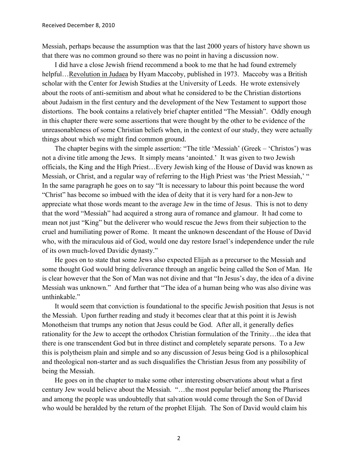Messiah, perhaps because the assumption was that the last 2000 years of history have shown us that there was no common ground so there was no point in having a discussion now.

I did have a close Jewish friend recommend a book to me that he had found extremely helpful…Revolution in Judaea by Hyam Maccoby, published in 1973. Maccoby was a British scholar with the Center for Jewish Studies at the University of Leeds. He wrote extensively about the roots of anti-semitism and about what he considered to be the Christian distortions about Judaism in the first century and the development of the New Testament to support those distortions. The book contains a relatively brief chapter entitled "The Messiah". Oddly enough in this chapter there were some assertions that were thought by the other to be evidence of the unreasonableness of some Christian beliefs when, in the context of our study, they were actually things about which we might find common ground.

The chapter begins with the simple assertion: "The title 'Messiah' (Greek – 'Christos') was not a divine title among the Jews. It simply means 'anointed.' It was given to two Jewish officials, the King and the High Priest…Every Jewish king of the House of David was known as Messiah, or Christ, and a regular way of referring to the High Priest was 'the Priest Messiah,' " In the same paragraph he goes on to say "It is necessary to labour this point because the word "Christ" has become so imbued with the idea of deity that it is very hard for a non-Jew to appreciate what those words meant to the average Jew in the time of Jesus. This is not to deny that the word "Messiah" had acquired a strong aura of romance and glamour. It had come to mean not just "King" but the deliverer who would rescue the Jews from their subjection to the cruel and humiliating power of Rome. It meant the unknown descendant of the House of David who, with the miraculous aid of God, would one day restore Israel's independence under the rule of its own much-loved Davidic dynasty."

He goes on to state that some Jews also expected Elijah as a precursor to the Messiah and some thought God would bring deliverance through an angelic being called the Son of Man. He is clear however that the Son of Man was not divine and that "In Jesus's day, the idea of a divine Messiah was unknown." And further that "The idea of a human being who was also divine was unthinkable."

It would seem that conviction is foundational to the specific Jewish position that Jesus is not the Messiah. Upon further reading and study it becomes clear that at this point it is Jewish Monotheism that trumps any notion that Jesus could be God. After all, it generally defies rationality for the Jew to accept the orthodox Christian formulation of the Trinity…the idea that there is one transcendent God but in three distinct and completely separate persons. To a Jew this is polytheism plain and simple and so any discussion of Jesus being God is a philosophical and theological non-starter and as such disqualifies the Christian Jesus from any possibility of being the Messiah.

He goes on in the chapter to make some other interesting observations about what a first century Jew would believe about the Messiah. "…the most popular belief among the Pharisees and among the people was undoubtedly that salvation would come through the Son of David who would be heralded by the return of the prophet Elijah. The Son of David would claim his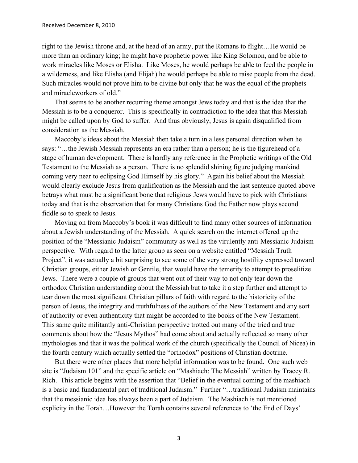right to the Jewish throne and, at the head of an army, put the Romans to flight…He would be more than an ordinary king; he might have prophetic power like King Solomon, and be able to work miracles like Moses or Elisha. Like Moses, he would perhaps be able to feed the people in a wilderness, and like Elisha (and Elijah) he would perhaps be able to raise people from the dead. Such miracles would not prove him to be divine but only that he was the equal of the prophets and miracleworkers of old."

That seems to be another recurring theme amongst Jews today and that is the idea that the Messiah is to be a conqueror. This is specifically in contradiction to the idea that this Messiah might be called upon by God to suffer. And thus obviously, Jesus is again disqualified from consideration as the Messiah.

Maccoby's ideas about the Messiah then take a turn in a less personal direction when he says: "…the Jewish Messiah represents an era rather than a person; he is the figurehead of a stage of human development. There is hardly any reference in the Prophetic writings of the Old Testament to the Messiah as a person. There is no splendid shining figure judging mankind coming very near to eclipsing God Himself by his glory." Again his belief about the Messiah would clearly exclude Jesus from qualification as the Messiah and the last sentence quoted above betrays what must be a significant bone that religious Jews would have to pick with Christians today and that is the observation that for many Christians God the Father now plays second fiddle so to speak to Jesus.

Moving on from Maccoby's book it was difficult to find many other sources of information about a Jewish understanding of the Messiah. A quick search on the internet offered up the position of the "Messianic Judaism" community as well as the virulently anti-Messianic Judaism perspective. With regard to the latter group as seen on a website entitled "Messiah Truth Project", it was actually a bit surprising to see some of the very strong hostility expressed toward Christian groups, either Jewish or Gentile, that would have the temerity to attempt to proselitize Jews. There were a couple of groups that went out of their way to not only tear down the orthodox Christian understanding about the Messiah but to take it a step further and attempt to tear down the most significant Christian pillars of faith with regard to the historicity of the person of Jesus, the integrity and truthfulness of the authors of the New Testament and any sort of authority or even authenticity that might be accorded to the books of the New Testament. This same quite militantly anti-Christian perspective trotted out many of the tried and true comments about how the "Jesus Mythos" had come about and actually reflected so many other mythologies and that it was the political work of the church (specifically the Council of Nicea) in the fourth century which actually settled the "orthodox" positions of Christian doctrine.

But there were other places that more helpful information was to be found. One such web site is "Judaism 101" and the specific article on "Mashiach: The Messiah" written by Tracey R. Rich. This article begins with the assertion that "Belief in the eventual coming of the mashiach is a basic and fundamental part of traditional Judaism." Further "…traditional Judaism maintains that the messianic idea has always been a part of Judaism. The Mashiach is not mentioned explicity in the Torah…However the Torah contains several references to 'the End of Days'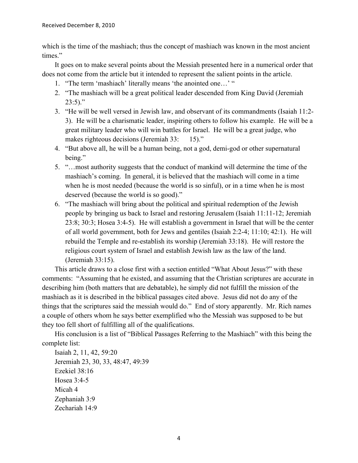which is the time of the mashiach; thus the concept of mashiach was known in the most ancient times"

It goes on to make several points about the Messiah presented here in a numerical order that does not come from the article but it intended to represent the salient points in the article.

- 1. "The term 'mashiach' literally means 'the anointed one…' "
- 2. "The mashiach will be a great political leader descended from King David (Jeremiah  $23:5$ )."
- 3. "He will be well versed in Jewish law, and observant of its commandments (Isaiah 11:2- 3). He will be a charismatic leader, inspiring others to follow his example. He will be a great military leader who will win battles for Israel. He will be a great judge, who makes righteous decisions (Jeremiah 33: 15)."
- 4. "But above all, he will be a human being, not a god, demi-god or other supernatural being."
- 5. "…most authority suggests that the conduct of mankind will determine the time of the mashiach's coming. In general, it is believed that the mashiach will come in a time when he is most needed (because the world is so sinful), or in a time when he is most deserved (because the world is so good)."
- 6. "The mashiach will bring about the political and spiritual redemption of the Jewish people by bringing us back to Israel and restoring Jerusalem (Isaiah 11:11-12; Jeremiah 23:8; 30:3; Hosea 3:4-5). He will establish a government in Israel that will be the center of all world government, both for Jews and gentiles (Isaiah 2:2-4; 11:10; 42:1). He will rebuild the Temple and re-establish its worship (Jeremiah 33:18). He will restore the religious court system of Israel and establish Jewish law as the law of the land. (Jeremiah 33:15).

This article draws to a close first with a section entitled "What About Jesus?" with these comments: "Assuming that he existed, and assuming that the Christian scriptures are accurate in describing him (both matters that are debatable), he simply did not fulfill the mission of the mashiach as it is described in the biblical passages cited above. Jesus did not do any of the things that the scriptures said the messiah would do." End of story apparently. Mr. Rich names a couple of others whom he says better exemplified who the Messiah was supposed to be but they too fell short of fulfilling all of the qualifications.

His conclusion is a list of "Biblical Passages Referring to the Mashiach" with this being the complete list:

Isaiah 2, 11, 42, 59:20 Jeremiah 23, 30, 33, 48:47, 49:39 Ezekiel 38:16 Hosea 3:4-5 Micah 4 Zephaniah 3:9 Zechariah 14:9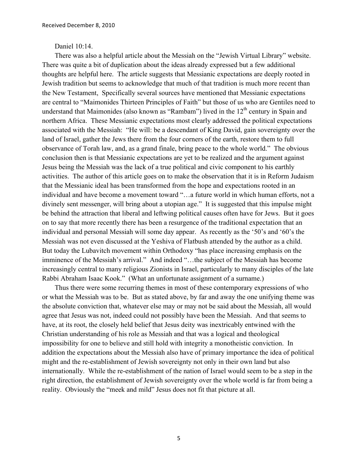#### Daniel 10:14.

There was also a helpful article about the Messiah on the "Jewish Virtual Library" website. There was quite a bit of duplication about the ideas already expressed but a few additional thoughts are helpful here. The article suggests that Messianic expectations are deeply rooted in Jewish tradition but seems to acknowledge that much of that tradition is much more recent than the New Testament, Specifically several sources have mentioned that Messianic expectations are central to "Maimonides Thirteen Principles of Faith" but those of us who are Gentiles need to understand that Maimonides (also known as "Rambam") lived in the  $12<sup>th</sup>$  century in Spain and northern Africa. These Messianic expectations most clearly addressed the political expectations associated with the Messiah: "He will: be a descendant of King David, gain sovereignty over the land of Israel, gather the Jews there from the four corners of the earth, restore them to full observance of Torah law, and, as a grand finale, bring peace to the whole world." The obvious conclusion then is that Messianic expectations are yet to be realized and the argument against Jesus being the Messiah was the lack of a true political and civic component to his earthly activities. The author of this article goes on to make the observation that it is in Reform Judaism that the Messianic ideal has been transformed from the hope and expectations rooted in an individual and have become a movement toward "…a future world in which human efforts, not a divinely sent messenger, will bring about a utopian age." It is suggested that this impulse might be behind the attraction that liberal and leftwing political causes often have for Jews. But it goes on to say that more recently there has been a resurgence of the traditional expectation that an individual and personal Messiah will some day appear. As recently as the '50's and '60's the Messiah was not even discussed at the Yeshiva of Flatbush attended by the author as a child. But today the Lubavitch movement within Orthodoxy "has place increasing emphasis on the imminence of the Messiah's arrival." And indeed "…the subject of the Messiah has become increasingly central to many religious Zionists in Israel, particularly to many disciples of the late Rabbi Abraham Isaac Kook." (What an unfortunate assignment of a surname.)

Thus there were some recurring themes in most of these contemporary expressions of who or what the Messiah was to be. But as stated above, by far and away the one unifying theme was the absolute conviction that, whatever else may or may not be said about the Messiah, all would agree that Jesus was not, indeed could not possibly have been the Messiah. And that seems to have, at its root, the closely held belief that Jesus deity was inextricably entwined with the Christian understanding of his role as Messiah and that was a logical and theological impossibility for one to believe and still hold with integrity a monotheistic conviction. In addition the expectations about the Messiah also have of primary importance the idea of political might and the re-establishment of Jewish sovereignty not only in their own land but also internationally. While the re-establishment of the nation of Israel would seem to be a step in the right direction, the establishment of Jewish sovereignty over the whole world is far from being a reality. Obviously the "meek and mild" Jesus does not fit that picture at all.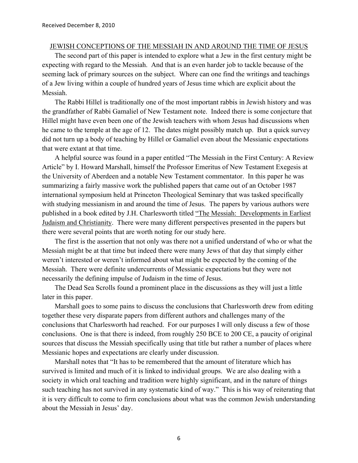#### JEWISH CONCEPTIONS OF THE MESSIAH IN AND AROUND THE TIME OF JESUS

The second part of this paper is intended to explore what a Jew in the first century might be expecting with regard to the Messiah. And that is an even harder job to tackle because of the seeming lack of primary sources on the subject. Where can one find the writings and teachings of a Jew living within a couple of hundred years of Jesus time which are explicit about the Messiah.

The Rabbi Hillel is traditionally one of the most important rabbis in Jewish history and was the grandfather of Rabbi Gamaliel of New Testament note. Indeed there is some conjecture that Hillel might have even been one of the Jewish teachers with whom Jesus had discussions when he came to the temple at the age of 12. The dates might possibly match up. But a quick survey did not turn up a body of teaching by Hillel or Gamaliel even about the Messianic expectations that were extant at that time.

A helpful source was found in a paper entitled "The Messiah in the First Century: A Review Article" by I. Howard Marshall, himself the Professor Emeritus of New Testament Exegesis at the University of Aberdeen and a notable New Testament commentator. In this paper he was summarizing a fairly massive work the published papers that came out of an October 1987 international symposium held at Princeton Theological Seminary that was tasked specifically with studying messianism in and around the time of Jesus. The papers by various authors were published in a book edited by J.H. Charlesworth titled "The Messiah: Developments in Earliest Judaism and Christianity. There were many different perspectives presented in the papers but there were several points that are worth noting for our study here.

The first is the assertion that not only was there not a unified understand of who or what the Messiah might be at that time but indeed there were many Jews of that day that simply either weren't interested or weren't informed about what might be expected by the coming of the Messiah. There were definite undercurrents of Messianic expectations but they were not necessarily the defining impulse of Judaism in the time of Jesus.

The Dead Sea Scrolls found a prominent place in the discussions as they will just a little later in this paper.

Marshall goes to some pains to discuss the conclusions that Charlesworth drew from editing together these very disparate papers from different authors and challenges many of the conclusions that Charlesworth had reached. For our purposes I will only discuss a few of those conclusions. One is that there is indeed, from roughly 250 BCE to 200 CE, a paucity of original sources that discuss the Messiah specifically using that title but rather a number of places where Messianic hopes and expectations are clearly under discussion.

Marshall notes that "It has to be remembered that the amount of literature which has survived is limited and much of it is linked to individual groups. We are also dealing with a society in which oral teaching and tradition were highly significant, and in the nature of things such teaching has not survived in any systematic kind of way." This is his way of reiterating that it is very difficult to come to firm conclusions about what was the common Jewish understanding about the Messiah in Jesus' day.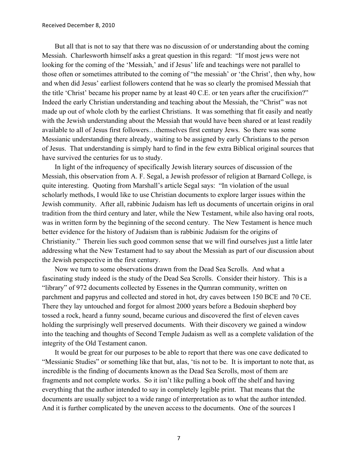But all that is not to say that there was no discussion of or understanding about the coming Messiah. Charlesworth himself asks a great question in this regard: "If most jews were not looking for the coming of the 'Messiah,' and if Jesus' life and teachings were not parallel to those often or sometimes attributed to the coming of "the messiah' or 'the Christ', then why, how and when did Jesus' earliest followers contend that he was so clearly the promised Messiah that the title 'Christ' became his proper name by at least 40 C.E. or ten years after the crucifixion?" Indeed the early Christian understanding and teaching about the Messiah, the "Christ" was not made up out of whole cloth by the earliest Christians. It was something that fit easily and neatly with the Jewish understanding about the Messiah that would have been shared or at least readily available to all of Jesus first followers…themselves first century Jews. So there was some Messianic understanding there already, waiting to be assigned by early Christians to the person of Jesus. That understanding is simply hard to find in the few extra Biblical original sources that have survived the centuries for us to study.

In light of the infrequency of specifically Jewish literary sources of discussion of the Messiah, this observation from A. F. Segal, a Jewish professor of religion at Barnard College, is quite interesting. Quoting from Marshall's article Segal says: "In violation of the usual scholarly methods, I would like to use Christian documents to explore larger issues within the Jewish community. After all, rabbinic Judaism has left us documents of uncertain origins in oral tradition from the third century and later, while the New Testament, while also having oral roots, was in written form by the beginning of the second century. The New Testament is hence much better evidence for the history of Judaism than is rabbinic Judaism for the origins of Christianity." Therein lies such good common sense that we will find ourselves just a little later addressing what the New Testament had to say about the Messiah as part of our discussion about the Jewish perspective in the first century.

Now we turn to some observations drawn from the Dead Sea Scrolls. And what a fascinating study indeed is the study of the Dead Sea Scrolls. Consider their history. This is a "library" of 972 documents collected by Essenes in the Qumran community, written on parchment and papyrus and collected and stored in hot, dry caves between 150 BCE and 70 CE. There they lay untouched and forgot for almost 2000 years before a Bedouin shepherd boy tossed a rock, heard a funny sound, became curious and discovered the first of eleven caves holding the surprisingly well preserved documents. With their discovery we gained a window into the teaching and thoughts of Second Temple Judaism as well as a complete validation of the integrity of the Old Testament canon.

It would be great for our purposes to be able to report that there was one cave dedicated to "Messianic Studies" or something like that but, alas, 'tis not to be. It is important to note that, as incredible is the finding of documents known as the Dead Sea Scrolls, most of them are fragments and not complete works. So it isn't like pulling a book off the shelf and having everything that the author intended to say in completely legible print. That means that the documents are usually subject to a wide range of interpretation as to what the author intended. And it is further complicated by the uneven access to the documents. One of the sources I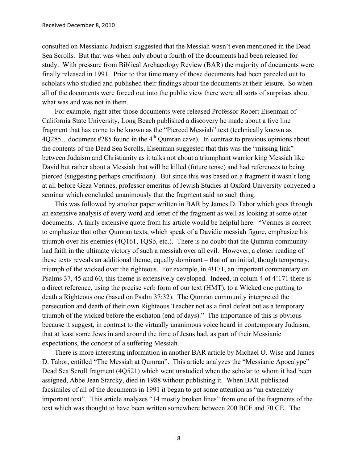consulted on Messianic Judaism suggested that the Messiah wasn't even mentioned in the Dead Sea Scrolls. But that was when only about a fourth of the documents had been released for study. With pressure from Biblical Archaeology Review (BAR) the majority of documents were finally released in 1991. Prior to that time many of those documents had been parceled out to scholars who studied and published their findings about the documents at their leisure. So when all of the documents were forced out into the public view there were all sorts of surprises about what was and was not in them.

For example, right after those documents were released Professor Robert Eisenman of California State University, Long Beach published a discovery he made about a five line fragment that has come to be known as the "Pierced Messiah" text (technically known as  $4Q285...$  document #285 found in the  $4<sup>th</sup>$  Qumran cave). In contrast to previous opinions about the contents of the Dead Sea Scrolls, Eisenman suggested that this was the "missing link" between Judaism and Christianity as it talks not about a triumphant warrior king Messiah like David but rather about a Messiah that will be killed (future tense) and had references to being pierced (suggesting perhaps crucifixion). But since this was based on a fragment it wasn't long at all before Geza Vermes, professor emeritus of Jewish Studies at Oxford University convened a seminar which concluded unanimously that the fragment said no such thing.

This was followed by another paper written in BAR by James D. Tabor which goes through an extensive analysis of every word and letter of the fragment as well as looking at some other documents. A fairly extensive quote from his article would be helpful here: "Vermes is correct to emphasize that other Qumran texts, which speak of a Davidic messiah figure, emphasize his triumph over his enemies (4Q161, 1QSb, etc.). There is no doubt that the Qumran community had faith in the ultimate victory of such a messiah over all evil. However, a closer reading of these texts reveals an additional theme, equally dominant – that of an initial, though temporary, triumph of the wicked over the righteous. For example, in 4!171, an important commentary on Psalms 37, 45 and 60, this theme is extensively developed. Indeed, in colum 4 of 4!171 there is a direct reference, using the precise verb form of our text (HMT), to a Wicked one putting to death a Righteous one (based on Psalm 37:32). The Qumran community interpreted the persecution and death of their own Righteous Teacher not as a final defeat but as a temporary triumph of the wicked before the eschaton (end of days)." The importance of this is obvious because it suggest, in contrast to the virtually unanimous voice heard in contemporary Judaism, that at least some Jews in and around the time of Jesus had, as part of their Messianic expectations, the concept of a suffering Messiah.

There is more interesting information in another BAR article by Michael O. Wise and James D. Tabor, entitled "The Messiah at Qumran". This article analyzes the "Messianic Apocalype" Dead Sea Scroll fragment (4Q521) which went unstudied when the scholar to whom it had been assigned, Abbe Jean Starcky, died in 1988 without publishing it. When BAR published facsimiles of all of the documents in 1991 it began to get some attention as "an extremely important text". This article analyzes "14 mostly broken lines" from one of the fragments of the text which was thought to have been written somewhere between 200 BCE and 70 CE. The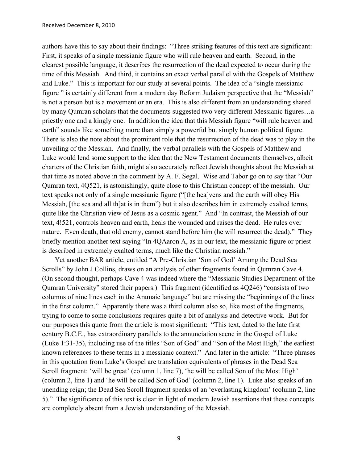authors have this to say about their findings: "Three striking features of this text are significant: First, it speaks of a single messianic figure who will rule heaven and earth. Second, in the clearest possible language, it describes the resurrection of the dead expected to occur during the time of this Messiah. And third, it contains an exact verbal parallel with the Gospels of Matthew and Luke." This is important for our study at several points. The idea of a "single messianic figure " is certainly different from a modern day Reform Judaism perspective that the "Messiah" is not a person but is a movement or an era. This is also different from an understanding shared by many Qumran scholars that the documents suggested two very different Messianic figures…a priestly one and a kingly one. In addition the idea that this Messiah figure "will rule heaven and earth" sounds like something more than simply a powerful but simply human political figure. There is also the note about the prominent role that the resurrection of the dead was to play in the unveiling of the Messiah. And finally, the verbal parallels with the Gospels of Matthew and Luke would lend some support to the idea that the New Testament documents themselves, albeit charters of the Christian faith, might also accurately reflect Jewish thoughts about the Messiah at that time as noted above in the comment by A. F. Segal. Wise and Tabor go on to say that "Our Qumran text, 4Q521, is astonishingly, quite close to this Christian concept of the messiah. Our text speaks not only of a single messianic figure ("[the hea]vens and the earth will obey His Messiah, [the sea and all th]at is in them") but it also describes him in extremely exalted terms, quite like the Christian view of Jesus as a cosmic agent." And "In contrast, the Messiah of our text, 4!521, controls heaven and earth, heals the wounded and raises the dead. He rules over nature. Even death, that old enemy, cannot stand before him (he will resurrect the dead)." They briefly mention another text saying "In 4QAaron A, as in our text, the messianic figure or priest is described in extremely exalted terms, much like the Christian messiah."

Yet another BAR article, entitled "A Pre-Christian 'Son of God' Among the Dead Sea Scrolls" by John J Collins, draws on an analysis of other fragments found in Qumran Cave 4. (On second thought, perhaps Cave 4 was indeed where the "Messianic Studies Department of the Qumran University" stored their papers.) This fragment (identified as 4Q246) "consists of two columns of nine lines each in the Aramaic language" but are missing the "beginnings of the lines in the first column." Apparently there was a third column also so, like most of the fragments, trying to come to some conclusions requires quite a bit of analysis and detective work. But for our purposes this quote from the article is most significant: "This text, dated to the late first century B.C.E., has extraordinary parallels to the annunciation scene in the Gospel of Luke (Luke 1:31-35), including use of the titles "Son of God" and "Son of the Most High," the earliest known references to these terms in a messianic context." And later in the article: "Three phrases in this quotation from Luke's Gospel are translation equivalents of phrases in the Dead Sea Scroll fragment: 'will be great' (column 1, line 7), 'he will be called Son of the Most High' (column 2, line 1) and 'he will be called Son of God' (column 2, line 1). Luke also speaks of an unending reign; the Dead Sea Scroll fragment speaks of an 'everlasting kingdom' (column 2, line 5)." The significance of this text is clear in light of modern Jewish assertions that these concepts are completely absent from a Jewish understanding of the Messiah.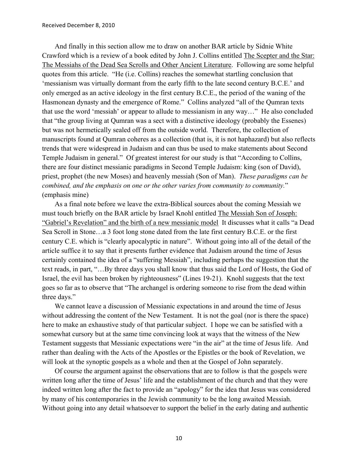And finally in this section allow me to draw on another BAR article by Sidnie White Crawford which is a review of a book edited by John J. Collins entitled The Scepter and the Star: The Messiahs of the Dead Sea Scrolls and Other Ancient Literature. Following are some helpful quotes from this article. "He (i.e. Collins) reaches the somewhat startling conclusion that 'messianism was virtually dormant from the early fifth to the late second century B.C.E.' and only emerged as an active ideology in the first century B.C.E., the period of the waning of the Hasmonean dynasty and the emergence of Rome." Collins analyzed "all of the Qumran texts that use the word 'messiah' or appear to allude to messianism in any way…" He also concluded that "the group living at Qumran was a sect with a distinctive ideology (probably the Essenes) but was not hermetically sealed off from the outside world. Therefore, the collection of manuscripts found at Qumran coheres as a collection (that is, it is not haphazard) but also reflects trends that were widespread in Judaism and can thus be used to make statements about Second Temple Judaism in general." Of greatest interest for our study is that "According to Collins, there are four distinct messianic paradigms in Second Temple Judaism: king (son of David), priest, prophet (the new Moses) and heavenly messiah (Son of Man). *These paradigms can be combined, and the emphasis on one or the other varies from community to community.*" (emphasis mine)

As a final note before we leave the extra-Biblical sources about the coming Messiah we must touch briefly on the BAR article by Israel Knohl entitled The Messiah Son of Joseph: "Gabriel's Revelation" and the birth of a new messianic model It discusses what it calls "a Dead Sea Scroll in Stone…a 3 foot long stone dated from the late first century B.C.E. or the first century C.E. which is "clearly apocalyptic in nature". Without going into all of the detail of the article suffice it to say that it presents further evidence that Judaism around the time of Jesus certainly contained the idea of a "suffering Messiah", including perhaps the suggestion that the text reads, in part, "…By three days you shall know that thus said the Lord of Hosts, the God of Israel, the evil has been broken by righteousness" (Lines 19-21). Knohl suggests that the text goes so far as to observe that "The archangel is ordering someone to rise from the dead within three days."

We cannot leave a discussion of Messianic expectations in and around the time of Jesus without addressing the content of the New Testament. It is not the goal (nor is there the space) here to make an exhaustive study of that particular subject. I hope we can be satisfied with a somewhat cursory but at the same time convincing look at ways that the witness of the New Testament suggests that Messianic expectations were "in the air" at the time of Jesus life. And rather than dealing with the Acts of the Apostles or the Epistles or the book of Revelation, we will look at the synoptic gospels as a whole and then at the Gospel of John separately.

Of course the argument against the observations that are to follow is that the gospels were written long after the time of Jesus' life and the establishment of the church and that they were indeed written long after the fact to provide an "apology" for the idea that Jesus was considered by many of his contemporaries in the Jewish community to be the long awaited Messiah. Without going into any detail whatsoever to support the belief in the early dating and authentic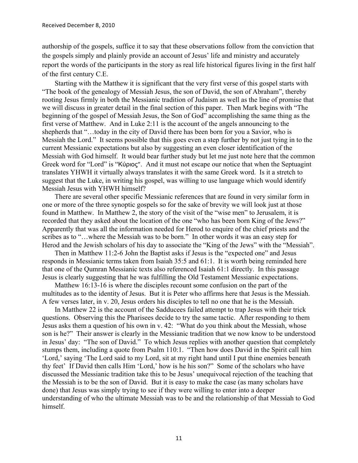authorship of the gospels, suffice it to say that these observations follow from the conviction that the gospels simply and plainly provide an account of Jesus' life and ministry and accurately report the words of the participants in the story as real life historical figures living in the first half of the first century C.E.

Starting with the Matthew it is significant that the very first verse of this gospel starts with "The book of the genealogy of Messiah Jesus, the son of David, the son of Abraham", thereby rooting Jesus firmly in both the Messianic tradition of Judaism as well as the line of promise that we will discuss in greater detail in the final section of this paper. Then Mark begins with "The beginning of the gospel of Messiah Jesus, the Son of God" accomplishing the same thing as the first verse of Matthew. And in Luke 2:11 is the account of the angels announcing to the shepherds that "…today in the city of David there has been born for you a Savior, who is Messiah the Lord." It seems possible that this goes even a step further by not just tying in to the current Messianic expectations but also by suggesting an even closer identification of the Messiah with God himself. It would bear further study but let me just note here that the common Greek word for "Lord" is "Κύριος". And it must not escape our notice that when the Septuagint translates YHWH it virtually always translates it with the same Greek word. Is it a stretch to suggest that the Luke, in writing his gospel, was willing to use language which would identify Messiah Jesus with YHWH himself?

There are several other specific Messianic references that are found in very similar form in one or more of the three synoptic gospels so for the sake of brevity we will look just at those found in Matthew. In Matthew 2, the story of the visit of the "wise men" to Jerusalem, it is recorded that they asked about the location of the one "who has been born King of the Jews?" Apparently that was all the information needed for Herod to enquire of the chief priests and the scribes as to "…where the Messiah was to be born." In other words it was an easy step for Herod and the Jewish scholars of his day to associate the "King of the Jews" with the "Messiah".

Then in Matthew 11:2-6 John the Baptist asks if Jesus is the "expected one" and Jesus responds in Messianic terms taken from Isaiah 35:5 and 61:1. It is worth being reminded here that one of the Qumran Messianic texts also referenced Isaiah 61:1 directly. In this passage Jesus is clearly suggesting that he was fulfilling the Old Testament Messianic expectations.

Matthew 16:13-16 is where the disciples recount some confusion on the part of the multitudes as to the identity of Jesus. But it is Peter who affirms here that Jesus is the Messiah. A few verses later, in v. 20, Jesus orders his disciples to tell no one that he is the Messiah.

In Matthew 22 is the account of the Sadducees failed attempt to trap Jesus with their trick questions. Observing this the Pharisees decide to try the same tactic. After responding to them Jesus asks them a question of his own in v. 42: "What do you think about the Messiah, whose son is he?" Their answer is clearly in the Messianic tradition that we now know to be understood in Jesus' day: "The son of David." To which Jesus replies with another question that completely stumps them, including a quote from Psalm 110:1. "Then how does David in the Spirit call him 'Lord,' saying 'The Lord said to my Lord, sit at my right hand until I put thine enemies beneath thy feet' If David then calls Him 'Lord,' how is he his son?" Some of the scholars who have discussed the Messianic tradition take this to be Jesus' unequivocal rejection of the teaching that the Messiah is to be the son of David. But it is easy to make the case (as many scholars have done) that Jesus was simply trying to see if they were willing to enter into a deeper understanding of who the ultimate Messiah was to be and the relationship of that Messiah to God himself.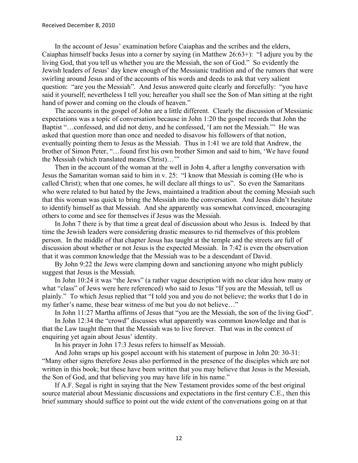In the account of Jesus' examination before Caiaphas and the scribes and the elders, Caiaphas himself backs Jesus into a corner by saying (in Matthew 26:63+): "I adjure you by the living God, that you tell us whether you are the Messiah, the son of God." So evidently the Jewish leaders of Jesus' day knew enough of the Messianic tradition and of the rumors that were swirling around Jesus and of the accounts of his words and deeds to ask that very salient question: "are you the Messiah". And Jesus answered quite clearly and forcefully: "you have said it yourself; nevertheless I tell you; hereafter you shall see the Son of Man sitting at the right hand of power and coming on the clouds of heaven."

The accounts in the gospel of John are a little different. Clearly the discussion of Messianic expectations was a topic of conversation because in John 1:20 the gospel records that John the Baptist "…confessed, and did not deny, and he confessed, 'I am not the Messiah.'" He was asked that question more than once and needed to disavow his followers of that notion, eventually pointing them to Jesus as the Messiah. Thus in 1:41 we are told that Andrew, the brother of Simon Peter, "…found first his own brother Simon and said to him, 'We have found the Messiah (which translated means Christ)…'"

Then in the account of the woman at the well in John 4, after a lengthy conversation with Jesus the Samaritan woman said to him in v. 25: "I know that Messiah is coming (He who is called Christ); when that one comes, he will declare all things to us". So even the Samaritans who were related to but hated by the Jews, maintained a tradition about the coming Messiah such that this woman was quick to bring the Messiah into the conversation. And Jesus didn't hesitate to identify himself as that Messiah. And she apparently was somewhat convinced, encouraging others to come and see for themselves if Jesus was the Messiah.

In John 7 there is by that time a great deal of discussion about who Jesus is. Indeed by that time the Jewish leaders were considering drastic measures to rid themselves of this problem person. In the middle of that chapter Jesus has taught at the temple and the streets are full of discussion about whether or not Jesus is the expected Messiah. In 7:42 is even the observation that it was common knowledge that the Messiah was to be a descendant of David.

By John 9:22 the Jews were clamping down and sanctioning anyone who might publicly suggest that Jesus is the Messiah.

In John 10:24 it was "the Jews" (a rather vague description with no clear idea how many or what "class" of Jews were here referenced) who said to Jesus "If you are the Messiah, tell us plainly." To which Jesus replied that "I told you and you do not believe; the works that I do in my father's name, these bear witness of me but you do not believe…"

In John 11:27 Martha affirms of Jesus that "you are the Messiah, the son of the living God".

In John 12:34 the "crowd" discusses what apparently was common knowledge and that is that the Law taught them that the Messiah was to live forever. That was in the context of enquiring yet again about Jesus' identity.

In his prayer in John 17:3 Jesus refers to himself as Messiah.

And John wraps up his gospel account with his statement of purpose in John 20: 30-31: "Many other signs therefore Jesus also performed in the presence of the disciples which are not written in this book; but these have been written that you may believe that Jesus is the Messiah, the Son of God, and that believing you may have life in his name."

If A.F. Segal is right in saying that the New Testament provides some of the best original source material about Messianic discussions and expectations in the first century C.E., then this brief summary should suffice to point out the wide extent of the conversations going on at that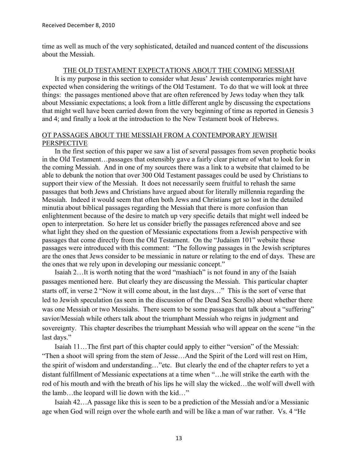time as well as much of the very sophisticated, detailed and nuanced content of the discussions about the Messiah.

## THE OLD TESTAMENT EXPECTATIONS ABOUT THE COMING MESSIAH

It is my purpose in this section to consider what Jesus' Jewish contemporaries might have expected when considering the writings of the Old Testament. To do that we will look at three things: the passages mentioned above that are often referenced by Jews today when they talk about Messianic expectations; a look from a little different angle by discussing the expectations that might well have been carried down from the very beginning of time as reported in Genesis 3 and 4; and finally a look at the introduction to the New Testament book of Hebrews.

## OT PASSAGES ABOUT THE MESSIAH FROM A CONTEMPORARY JEWISH **PERSPECTIVE**

In the first section of this paper we saw a list of several passages from seven prophetic books in the Old Testament…passages that ostensibly gave a fairly clear picture of what to look for in the coming Messiah. And in one of my sources there was a link to a website that claimed to be able to debunk the notion that over 300 Old Testament passages could be used by Christians to support their view of the Messiah. It does not necessarily seem fruitful to rehash the same passages that both Jews and Christians have argued about for literally millennia regarding the Messiah. Indeed it would seem that often both Jews and Christians get so lost in the detailed minutia about biblical passages regarding the Messiah that there is more confusion than enlightenment because of the desire to match up very specific details that might well indeed be open to interpretation. So here let us consider briefly the passages referenced above and see what light they shed on the question of Messianic expectations from a Jewish perspective with passages that come directly from the Old Testament. On the "Judaism 101" website these passages were introduced with this comment: "The following passages in the Jewish scriptures are the ones that Jews consider to be messianic in nature or relating to the end of days. These are the ones that we rely upon in developing our messianic concept."

Isaiah 2…It is worth noting that the word "mashiach" is not found in any of the Isaiah passages mentioned here. But clearly they are discussing the Messiah. This particular chapter starts off, in verse 2 "Now it will come about, in the last days…" This is the sort of verse that led to Jewish speculation (as seen in the discussion of the Dead Sea Scrolls) about whether there was one Messiah or two Messiahs. There seem to be some passages that talk about a "suffering" savior/Messiah while others talk about the triumphant Messiah who reigns in judgment and sovereignty. This chapter describes the triumphant Messiah who will appear on the scene "in the last days."

Isaiah 11…The first part of this chapter could apply to either "version" of the Messiah: "Then a shoot will spring from the stem of Jesse…And the Spirit of the Lord will rest on Him, the spirit of wisdom and understanding…"etc. But clearly the end of the chapter refers to yet a distant fulfillment of Messianic expectations at a time when "…he will strike the earth with the rod of his mouth and with the breath of his lips he will slay the wicked…the wolf will dwell with the lamb…the leopard will lie down with the kid…"

Isaiah 42…A passage like this is seen to be a prediction of the Messiah and/or a Messianic age when God will reign over the whole earth and will be like a man of war rather. Vs. 4 "He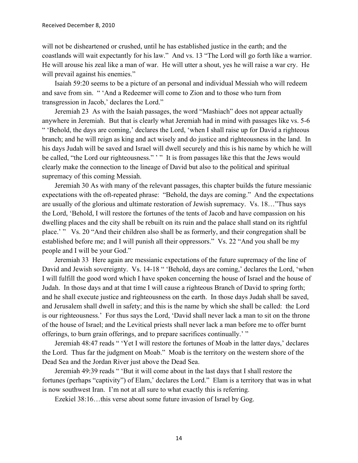will not be disheartened or crushed, until he has established justice in the earth; and the coastlands will wait expectantly for his law." And vs. 13 "The Lord will go forth like a warrior. He will arouse his zeal like a man of war. He will utter a shout, yes he will raise a war cry. He will prevail against his enemies."

Isaiah 59:20 seems to be a picture of an personal and individual Messiah who will redeem and save from sin. " 'And a Redeemer will come to Zion and to those who turn from transgression in Jacob,' declares the Lord."

Jeremiah 23 As with the Isaiah passages, the word "Mashiach" does not appear actually anywhere in Jeremiah. But that is clearly what Jeremiah had in mind with passages like vs. 5-6 " 'Behold, the days are coming,' declares the Lord, 'when I shall raise up for David a righteous branch; and he will reign as king and act wisely and do justice and righteousness in the land. In his days Judah will be saved and Israel will dwell securely and this is his name by which he will be called, "the Lord our righteousness." " It is from passages like this that the Jews would clearly make the connection to the lineage of David but also to the political and spiritual supremacy of this coming Messiah.

Jeremiah 30 As with many of the relevant passages, this chapter builds the future messianic expectations with the oft-repeated phrase: "Behold, the days are coming." And the expectations are usually of the glorious and ultimate restoration of Jewish supremacy. Vs. 18…"Thus says the Lord, 'Behold, I will restore the fortunes of the tents of Jacob and have compassion on his dwelling places and the city shall be rebuilt on its ruin and the palace shall stand on its rightful place.' " Vs. 20 "And their children also shall be as formerly, and their congregation shall be established before me; and I will punish all their oppressors." Vs. 22 "And you shall be my people and I will be your God."

Jeremiah 33 Here again are messianic expectations of the future supremacy of the line of David and Jewish sovereignty. Vs. 14-18 " 'Behold, days are coming,' declares the Lord, 'when I will fulfill the good word which I have spoken concerning the house of Israel and the house of Judah. In those days and at that time I will cause a righteous Branch of David to spring forth; and he shall execute justice and righteousness on the earth. In those days Judah shall be saved, and Jerusalem shall dwell in safety; and this is the name by which she shall be called: the Lord is our righteousness.' For thus says the Lord, 'David shall never lack a man to sit on the throne of the house of Israel; and the Levitical priests shall never lack a man before me to offer burnt offerings, to burn grain offerings, and to prepare sacrifices continually.' "

Jeremiah 48:47 reads " 'Yet I will restore the fortunes of Moab in the latter days,' declares the Lord. Thus far the judgment on Moab." Moab is the territory on the western shore of the Dead Sea and the Jordan River just above the Dead Sea.

Jeremiah 49:39 reads " 'But it will come about in the last days that I shall restore the fortunes (perhaps "captivity") of Elam,' declares the Lord." Elam is a territory that was in what is now southwest Iran. I'm not at all sure to what exactly this is referring.

Ezekiel 38:16…this verse about some future invasion of Israel by Gog.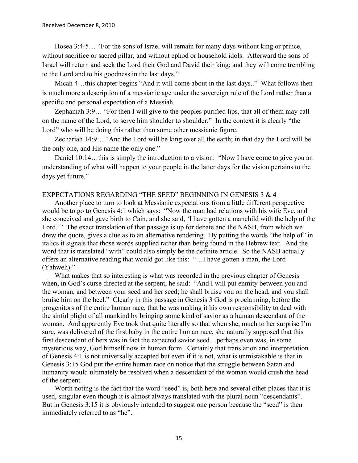Hosea 3:4-5… "For the sons of Israel will remain for many days without king or prince, without sacrifice or sacred pillar, and without ephod or household idols. Afterward the sons of Israel will return and seek the Lord their God and David their king; and they will come trembling to the Lord and to his goodness in the last days."

Micah 4…this chapter begins "And it will come about in the last days.." What follows then is much more a description of a messianic age under the sovereign rule of the Lord rather than a specific and personal expectation of a Messiah.

Zephaniah 3:9… "For then I will give to the peoples purified lips, that all of them may call on the name of the Lord, to serve him shoulder to shoulder." In the context it is clearly "the Lord" who will be doing this rather than some other messianic figure.

Zechariah 14:9… "And the Lord will be king over all the earth; in that day the Lord will be the only one, and His name the only one."

Daniel 10:14...this is simply the introduction to a vision: "Now I have come to give you an understanding of what will happen to your people in the latter days for the vision pertains to the days yet future."

## EXPECTATIONS REGARDING "THE SEED" BEGINNING IN GENESIS 3 & 4

Another place to turn to look at Messianic expectations from a little different perspective would be to go to Genesis 4:1 which says: "Now the man had relations with his wife Eve, and she conceived and gave birth to Cain, and she said, 'I have gotten a manchild with the help of the Lord." The exact translation of that passage is up for debate and the NASB, from which we drew the quote, gives a clue as to an alternative rendering. By putting the words "the help of" in italics it signals that those words supplied rather than being found in the Hebrew text. And the word that is translated "with" could also simply be the definite article. So the NASB actually offers an alternative reading that would got like this: "…I have gotten a man, the Lord (Yahweh)."

What makes that so interesting is what was recorded in the previous chapter of Genesis when, in God's curse directed at the serpent, he said: "And I will put enmity between you and the woman, and between your seed and her seed; he shall bruise you on the head, and you shall bruise him on the heel." Clearly in this passage in Genesis 3 God is proclaiming, before the progenitors of the entire human race, that he was making it his own responsibility to deal with the sinful plight of all mankind by bringing some kind of savior as a human descendant of the woman. And apparently Eve took that quite literally so that when she, much to her surprise I'm sure, was delivered of the first baby in the entire human race, she naturally supposed that this first descendant of hers was in fact the expected savior seed…perhaps even was, in some mysterious way, God himself now in human form. Certainly that translation and interpretation of Genesis 4:1 is not universally accepted but even if it is not, what is unmistakable is that in Genesis 3:15 God put the entire human race on notice that the struggle between Satan and humanity would ultimately be resolved when a descendant of the woman would crush the head of the serpent.

Worth noting is the fact that the word "seed" is, both here and several other places that it is used, singular even though it is almost always translated with the plural noun "descendants". But in Genesis 3:15 it is obviously intended to suggest one person because the "seed" is then immediately referred to as "he".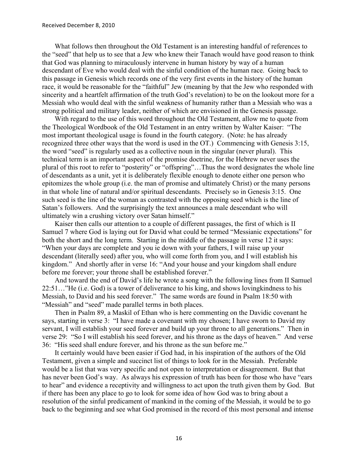What follows then throughout the Old Testament is an interesting handful of references to the "seed" that help us to see that a Jew who knew their Tanach would have good reason to think that God was planning to miraculously intervene in human history by way of a human descendant of Eve who would deal with the sinful condition of the human race. Going back to this passage in Genesis which records one of the very first events in the history of the human race, it would be reasonable for the "faithful" Jew (meaning by that the Jew who responded with sincerity and a heartfelt affirmation of the truth God's revelation) to be on the lookout more for a Messiah who would deal with the sinful weakness of humanity rather than a Messiah who was a strong political and military leader, neither of which are envisioned in the Genesis passage.

With regard to the use of this word throughout the Old Testament, allow me to quote from the Theological Wordbook of the Old Testament in an entry written by Walter Kaiser: "The most important theological usage is found in the fourth category. (Note: he has already recognized three other ways that the word is used in the OT.) Commencing with Genesis 3:15, the word "seed" is regularly used as a collective noun in the singular (never plural). This technical term is an important aspect of the promise doctrine, for the Hebrew never uses the plural of this root to refer to "posterity" or "offspring"…Thus the word designates the whole line of descendants as a unit, yet it is deliberately flexible enough to denote either one person who epitomizes the whole group (i.e. the man of promise and ultimately Christ) or the many persons in that whole line of natural and/or spiritual descendants. Precisely so in Genesis 3:15. One such seed is the line of the woman as contrasted with the opposing seed which is the line of Satan's followers. And the surprisingly the text announces a male descendant who will ultimately win a crushing victory over Satan himself."

Kaiser then calls our attention to a couple of different passages, the first of which is II Samuel 7 where God is laying out for David what could be termed "Messianic expectations" for both the short and the long term. Starting in the middle of the passage in verse 12 it says: "When your days are complete and you ie down with your fathers, I will raise up your descendant (literally seed) after you, who will come forth from you, and I will establish his kingdom." And shortly after in verse 16: "And your house and your kingdom shall endure before me forever; your throne shall be established forever."

And toward the end of David's life he wrote a song with the following lines from II Samuel 22:51…"He (i.e. God) is a tower of deliverance to his king, and shows lovingkindness to his Messiah, to David and his seed forever." The same words are found in Psalm 18:50 with "Messiah" and "seed" made parallel terms in both places.

Then in Psalm 89, a Maskil of Ethan who is here commenting on the Davidic covenant he says, starting in verse 3: "I have made a covenant with my chosen; I have sworn to David my servant, I will establish your seed forever and build up your throne to all generations." Then in verse 29: "So I will establish his seed forever, and his throne as the days of heaven." And verse 36: "His seed shall endure forever, and his throne as the sun before me."

It certainly would have been easier if God had, in his inspiration of the authors of the Old Testament, given a simple and succinct list of things to look for in the Messiah. Preferable would be a list that was very specific and not open to interpretation or disagreement. But that has never been God's way. As always his expression of truth has been for those who have "ears to hear" and evidence a receptivity and willingness to act upon the truth given them by God. But if there has been any place to go to look for some idea of how God was to bring about a resolution of the sinful predicament of mankind in the coming of the Messiah, it would be to go back to the beginning and see what God promised in the record of this most personal and intense